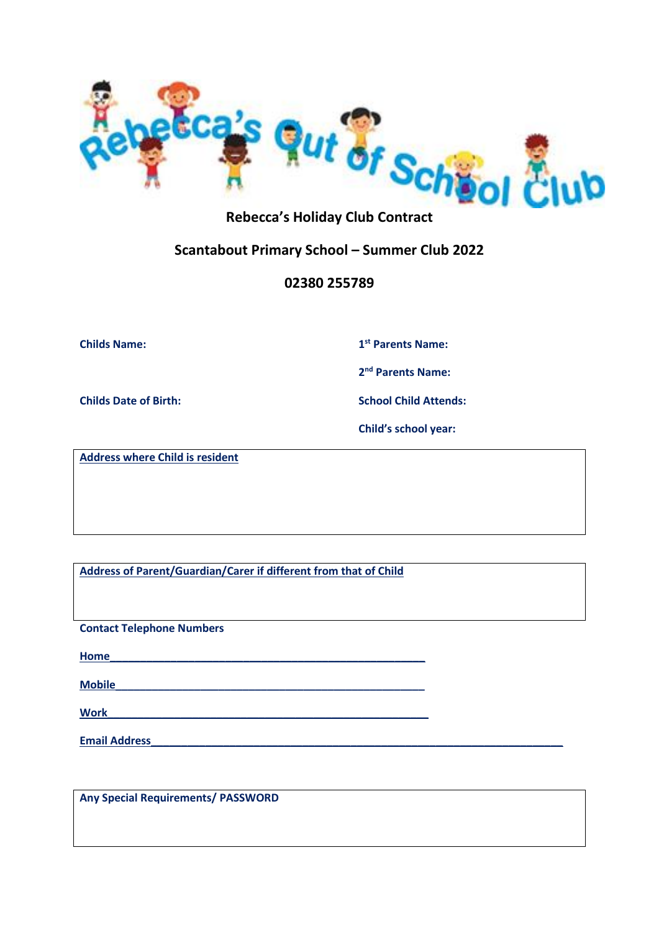

## **Rebecca's Holiday Club Contract**

## **Scantabout Primary School – Summer Club 2022**

### **02380 255789**

**Childs Name: 1**

**st Parents Name:**

**2 nd Parents Name:**

**Childs Date of Birth: School Child Attends:**

**Child's school year:** 

**Address where Child is resident**

**Address of Parent/Guardian/Carer if different from that of Child**

**Contact Telephone Numbers**

**Home\_\_\_\_\_\_\_\_\_\_\_\_\_\_\_\_\_\_\_\_\_\_\_\_\_\_\_\_\_\_\_\_\_\_\_\_\_\_\_\_\_\_\_\_\_\_\_\_\_\_\_\_**

**Mobile\_\_\_\_\_\_\_\_\_\_\_\_\_\_\_\_\_\_\_\_\_\_\_\_\_\_\_\_\_\_\_\_\_\_\_\_\_\_\_\_\_\_\_\_\_\_\_\_\_\_\_**

 $Work$ 

**Email Address** 

**Any Special Requirements/ PASSWORD**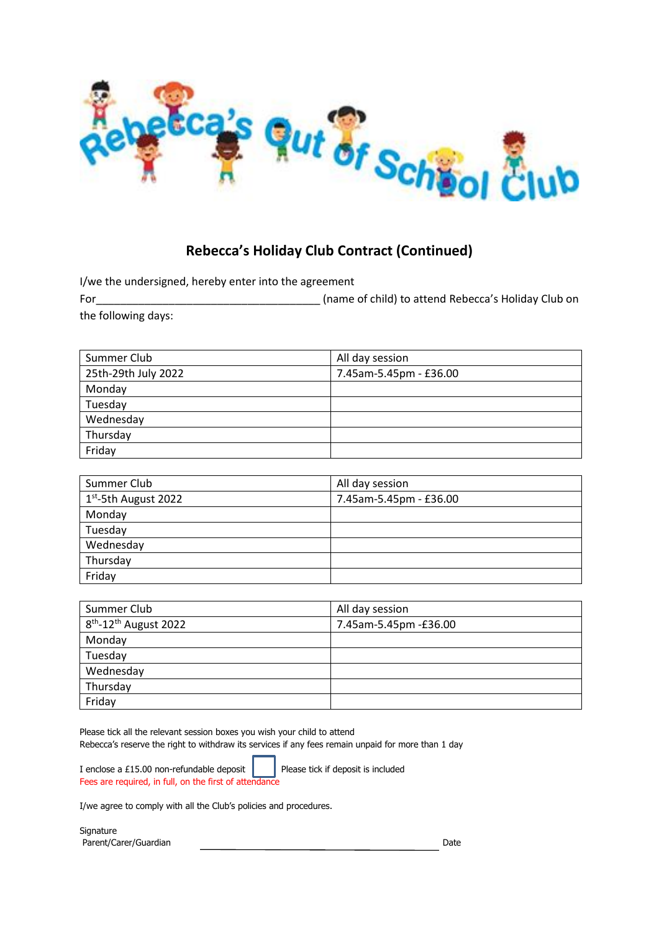

# **Rebecca's Holiday Club Contract (Continued)**

I/we the undersigned, hereby enter into the agreement

For\_\_\_\_\_\_\_\_\_\_\_\_\_\_\_\_\_\_\_\_\_\_\_\_\_\_\_\_\_\_\_\_\_\_\_\_\_ (name of child) to attend Rebecca's Holiday Club on the following days:

| Summer Club         | All day session        |
|---------------------|------------------------|
| 25th-29th July 2022 | 7.45am-5.45pm - £36.00 |
| Monday              |                        |
| Tuesday             |                        |
| Wednesday           |                        |
| Thursday            |                        |
| Friday              |                        |

| Summer Club         | All day session        |
|---------------------|------------------------|
| 1st-5th August 2022 | 7.45am-5.45pm - £36.00 |
| Monday              |                        |
| Tuesday             |                        |
| Wednesday           |                        |
| Thursday            |                        |
| Friday              |                        |

| Summer Club                         | All day session       |
|-------------------------------------|-----------------------|
| $8th$ -12 <sup>th</sup> August 2022 | 7.45am-5.45pm -£36.00 |
| Monday                              |                       |
| Tuesday                             |                       |
| Wednesday                           |                       |
| Thursday                            |                       |
| Friday                              |                       |

Please tick all the relevant session boxes you wish your child to attend Rebecca's reserve the right to withdraw its services if any fees remain unpaid for more than 1 day

I enclose a £15.00 non-refundable deposit  $\parallel$  Please tick if deposit is included Fees are required, in full, on the first of attendance

I/we agree to comply with all the Club's policies and procedures.

Signature Parent/Carer/Guardian Date